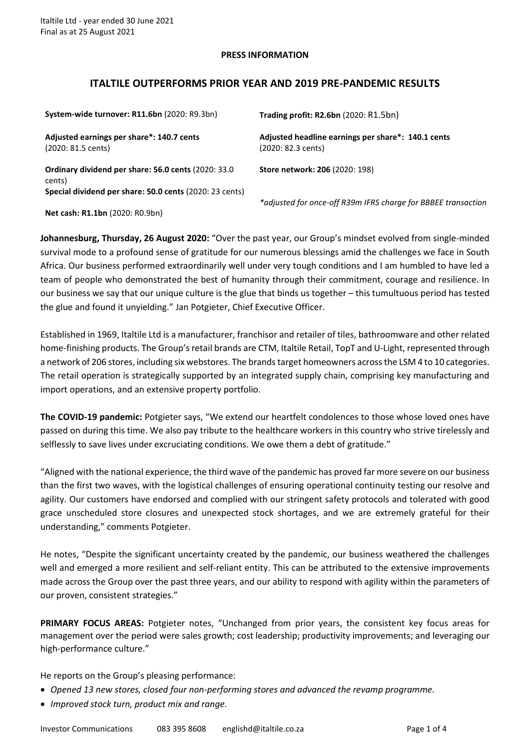### **PRESS INFORMATION**

# **ITALTILE OUTPERFORMS PRIOR YEAR AND 2019 PRE-PANDEMIC RESULTS**

| System-wide turnover: R11.6bn (2020: R9.3bn)                    | Trading profit: R2.6bn (2020: R1.5bn)                                    |
|-----------------------------------------------------------------|--------------------------------------------------------------------------|
| Adjusted earnings per share*: 140.7 cents<br>(2020: 81.5 cents) | Adjusted headline earnings per share*: 140.1 cents<br>(2020: 82.3 cents) |
| Ordinary dividend per share: 56.0 cents (2020: 33.0<br>cents)   | Store network: 206 (2020: 198)                                           |
| Special dividend per share: 50.0 cents (2020: 23 cents)         | *adjusted for once-off R39m IFRS charge for BBBEE trans                  |

**Net cash: R1.1bn** (2020: R0.9bn)

*\*adjusted for once-off R39m IFRS charge for BBBEE transaction*

**Johannesburg, Thursday, 26 August 2020:** "Over the past year, our Group's mindset evolved from single-minded survival mode to a profound sense of gratitude for our numerous blessings amid the challenges we face in South Africa. Our business performed extraordinarily well under very tough conditions and I am humbled to have led a team of people who demonstrated the best of humanity through their commitment, courage and resilience. In our business we say that our unique culture is the glue that binds us together – this tumultuous period has tested the glue and found it unyielding." Jan Potgieter, Chief Executive Officer.

Established in 1969, Italtile Ltd is a manufacturer, franchisor and retailer of tiles, bathroomware and other related home-finishing products. The Group's retail brands are CTM, Italtile Retail, TopT and U-Light, represented through a network of 206 stores, including six webstores. The brands target homeowners across the LSM 4 to 10 categories. The retail operation is strategically supported by an integrated supply chain, comprising key manufacturing and import operations, and an extensive property portfolio.

**The COVID-19 pandemic:** Potgieter says, "We extend our heartfelt condolences to those whose loved ones have passed on during this time. We also pay tribute to the healthcare workers in this country who strive tirelessly and selflessly to save lives under excruciating conditions. We owe them a debt of gratitude."

"Aligned with the national experience, the third wave of the pandemic has proved far more severe on our business than the first two waves, with the logistical challenges of ensuring operational continuity testing our resolve and agility. Our customers have endorsed and complied with our stringent safety protocols and tolerated with good grace unscheduled store closures and unexpected stock shortages, and we are extremely grateful for their understanding," comments Potgieter.

He notes, "Despite the significant uncertainty created by the pandemic, our business weathered the challenges well and emerged a more resilient and self-reliant entity. This can be attributed to the extensive improvements made across the Group over the past three years, and our ability to respond with agility within the parameters of our proven, consistent strategies."

**PRIMARY FOCUS AREAS:** Potgieter notes, "Unchanged from prior years, the consistent key focus areas for management over the period were sales growth; cost leadership; productivity improvements; and leveraging our high-performance culture."

He reports on the Group's pleasing performance:

- *Opened 13 new stores, closed four non-performing stores and advanced the revamp programme.*
- *Improved stock turn, product mix and range.*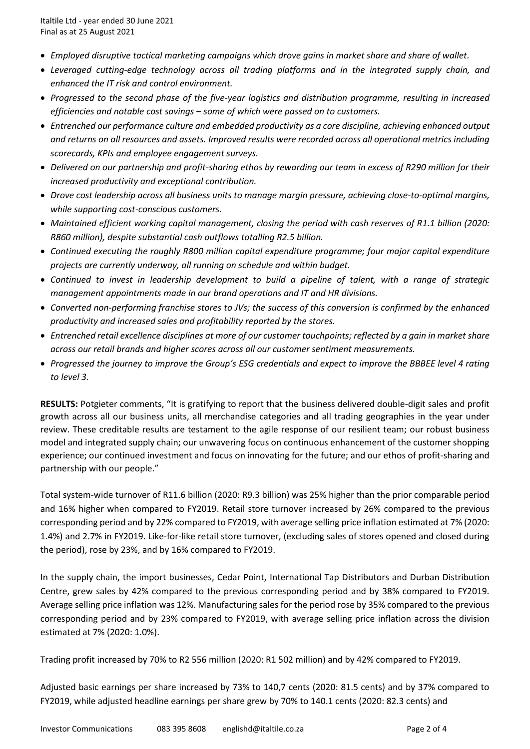- *Employed disruptive tactical marketing campaigns which drove gains in market share and share of wallet.*
- *Leveraged cutting-edge technology across all trading platforms and in the integrated supply chain, and enhanced the IT risk and control environment.*
- *Progressed to the second phase of the five-year logistics and distribution programme, resulting in increased efficiencies and notable cost savings – some of which were passed on to customers.*
- *Entrenched our performance culture and embedded productivity as a core discipline, achieving enhanced output and returns on all resources and assets. Improved results were recorded across all operational metrics including scorecards, KPIs and employee engagement surveys.*
- *Delivered on our partnership and profit-sharing ethos by rewarding our team in excess of R290 million for their increased productivity and exceptional contribution.*
- *Drove cost leadership across all business units to manage margin pressure, achieving close-to-optimal margins, while supporting cost-conscious customers.*
- *Maintained efficient working capital management, closing the period with cash reserves of R1.1 billion (2020: R860 million), despite substantial cash outflows totalling R2.5 billion.*
- *Continued executing the roughly R800 million capital expenditure programme; four major capital expenditure projects are currently underway, all running on schedule and within budget.*
- *Continued to invest in leadership development to build a pipeline of talent, with a range of strategic management appointments made in our brand operations and IT and HR divisions.*
- *Converted non-performing franchise stores to JVs; the success of this conversion is confirmed by the enhanced productivity and increased sales and profitability reported by the stores.*
- *Entrenched retail excellence disciplines at more of our customer touchpoints; reflected by a gain in market share across our retail brands and higher scores across all our customer sentiment measurements.*
- *Progressed the journey to improve the Group's ESG credentials and expect to improve the BBBEE level 4 rating to level 3.*

**RESULTS:** Potgieter comments, "It is gratifying to report that the business delivered double-digit sales and profit growth across all our business units, all merchandise categories and all trading geographies in the year under review. These creditable results are testament to the agile response of our resilient team; our robust business model and integrated supply chain; our unwavering focus on continuous enhancement of the customer shopping experience; our continued investment and focus on innovating for the future; and our ethos of profit-sharing and partnership with our people."

Total system-wide turnover of R11.6 billion (2020: R9.3 billion) was 25% higher than the prior comparable period and 16% higher when compared to FY2019. Retail store turnover increased by 26% compared to the previous corresponding period and by 22% compared to FY2019, with average selling price inflation estimated at 7% (2020: 1.4%) and 2.7% in FY2019. Like-for-like retail store turnover, (excluding sales of stores opened and closed during the period), rose by 23%, and by 16% compared to FY2019.

In the supply chain, the import businesses, Cedar Point, International Tap Distributors and Durban Distribution Centre, grew sales by 42% compared to the previous corresponding period and by 38% compared to FY2019. Average selling price inflation was 12%. Manufacturing sales for the period rose by 35% compared to the previous corresponding period and by 23% compared to FY2019, with average selling price inflation across the division estimated at 7% (2020: 1.0%).

Trading profit increased by 70% to R2 556 million (2020: R1 502 million) and by 42% compared to FY2019.

Adjusted basic earnings per share increased by 73% to 140,7 cents (2020: 81.5 cents) and by 37% compared to FY2019, while adjusted headline earnings per share grew by 70% to 140.1 cents (2020: 82.3 cents) and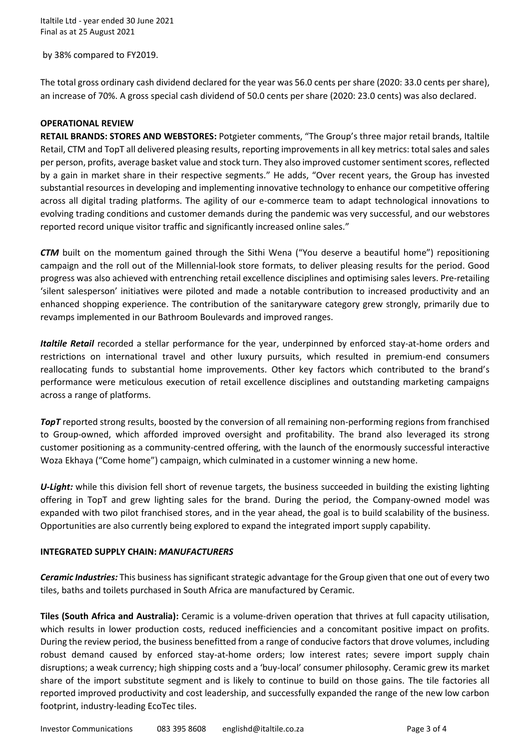Italtile Ltd - year ended 30 June 2021 Final as at 25 August 2021

by 38% compared to FY2019.

The total gross ordinary cash dividend declared for the year was 56.0 cents per share (2020: 33.0 cents per share), an increase of 70%. A gross special cash dividend of 50.0 cents per share (2020: 23.0 cents) was also declared.

## **OPERATIONAL REVIEW**

**RETAIL BRANDS: STORES AND WEBSTORES:** Potgieter comments, "The Group's three major retail brands, Italtile Retail, CTM and TopT all delivered pleasing results, reporting improvements in all key metrics: total sales and sales per person, profits, average basket value and stock turn. They also improved customer sentiment scores, reflected by a gain in market share in their respective segments." He adds, "Over recent years, the Group has invested substantial resources in developing and implementing innovative technology to enhance our competitive offering across all digital trading platforms. The agility of our e-commerce team to adapt technological innovations to evolving trading conditions and customer demands during the pandemic was very successful, and our webstores reported record unique visitor traffic and significantly increased online sales."

*CTM* built on the momentum gained through the Sithi Wena ("You deserve a beautiful home") repositioning campaign and the roll out of the Millennial-look store formats, to deliver pleasing results for the period. Good progress was also achieved with entrenching retail excellence disciplines and optimising sales levers. Pre-retailing 'silent salesperson' initiatives were piloted and made a notable contribution to increased productivity and an enhanced shopping experience. The contribution of the sanitaryware category grew strongly, primarily due to revamps implemented in our Bathroom Boulevards and improved ranges.

*Italtile Retail* recorded a stellar performance for the year, underpinned by enforced stay-at-home orders and restrictions on international travel and other luxury pursuits, which resulted in premium-end consumers reallocating funds to substantial home improvements. Other key factors which contributed to the brand's performance were meticulous execution of retail excellence disciplines and outstanding marketing campaigns across a range of platforms.

*TopT* reported strong results, boosted by the conversion of all remaining non-performing regions from franchised to Group-owned, which afforded improved oversight and profitability. The brand also leveraged its strong customer positioning as a community-centred offering, with the launch of the enormously successful interactive Woza Ekhaya ("Come home") campaign, which culminated in a customer winning a new home.

*U-Light:* while this division fell short of revenue targets, the business succeeded in building the existing lighting offering in TopT and grew lighting sales for the brand. During the period, the Company-owned model was expanded with two pilot franchised stores, and in the year ahead, the goal is to build scalability of the business. Opportunities are also currently being explored to expand the integrated import supply capability.

### **INTEGRATED SUPPLY CHAIN:** *MANUFACTURERS*

*Ceramic Industries:* This business has significant strategic advantage for the Group given that one out of every two tiles, baths and toilets purchased in South Africa are manufactured by Ceramic.

**Tiles (South Africa and Australia):** Ceramic is a volume-driven operation that thrives at full capacity utilisation, which results in lower production costs, reduced inefficiencies and a concomitant positive impact on profits. During the review period, the business benefitted from a range of conducive factors that drove volumes, including robust demand caused by enforced stay-at-home orders; low interest rates; severe import supply chain disruptions; a weak currency; high shipping costs and a 'buy-local' consumer philosophy. Ceramic grew its market share of the import substitute segment and is likely to continue to build on those gains. The tile factories all reported improved productivity and cost leadership, and successfully expanded the range of the new low carbon footprint, industry-leading EcoTec tiles.